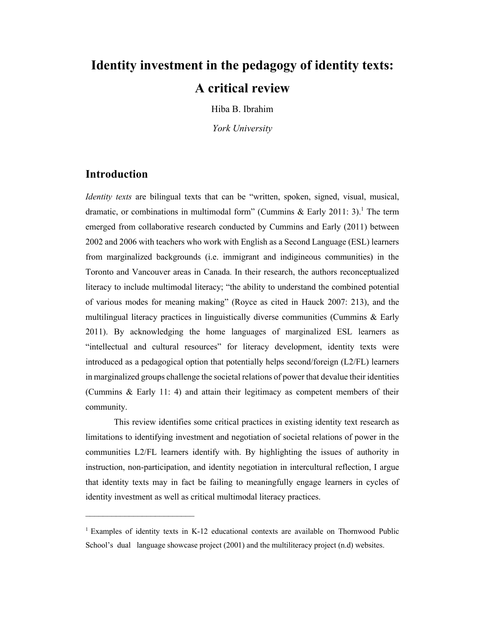# **Identity investment in the pedagogy of identity texts: A critical review**

Hiba B. Ibrahim

*York University*

#### **Introduction**

 $\mathcal{L}_\text{max}$  , where  $\mathcal{L}_\text{max}$  , we have the set of  $\mathcal{L}_\text{max}$ 

*Identity texts* are bilingual texts that can be "written, spoken, signed, visual, musical, dramatic, or combinations in multimodal form" (Cummins & Early 2011: 3).<sup>1</sup> The term emerged from collaborative research conducted by Cummins and Early (2011) between 2002 and 2006 with teachers who work with English as a Second Language (ESL) learners from marginalized backgrounds (i.e. immigrant and indigineous communities) in the Toronto and Vancouver areas in Canada. In their research, the authors reconceptualized literacy to include multimodal literacy; "the ability to understand the combined potential of various modes for meaning making" (Royce as cited in Hauck 2007: 213), and the multilingual literacy practices in linguistically diverse communities (Cummins & Early 2011). By acknowledging the home languages of marginalized ESL learners as "intellectual and cultural resources" for literacy development, identity texts were introduced as a pedagogical option that potentially helps second/foreign (L2/FL) learners in marginalized groups challenge the societal relations of power that devalue their identities (Cummins & Early 11: 4) and attain their legitimacy as competent members of their community.

This review identifies some critical practices in existing identity text research as limitations to identifying investment and negotiation of societal relations of power in the communities L2/FL learners identify with. By highlighting the issues of authority in instruction, non-participation, and identity negotiation in intercultural reflection, I argue that identity texts may in fact be failing to meaningfully engage learners in cycles of identity investment as well as critical multimodal literacy practices.

<sup>&</sup>lt;sup>1</sup> Examples of identity texts in K-12 educational contexts are available on Thornwood Public School's dual language showcase project (2001) and the multiliteracy project (n.d) websites.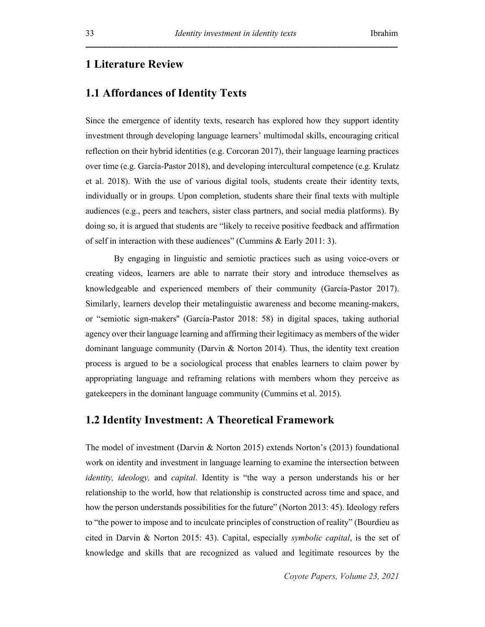#### **1 Literature Review**

### **1.1 Affordances of Identity Texts**

Since the emergence of identity texts, research has explored how they support identity investment through developing language learners' multimodal skills, encouraging critical reflection on their hybrid identities (e.g. Corcoran 2017), their language learning practices over time (e.g. García-Pastor 2018), and developing intercultural competence (e.g. Krulatz et al. 2018). With the use of various digital tools, students create their identity texts, individually or in groups. Upon completion, students share their final texts with multiple audiences (e.g., peers and teachers, sister class partners, and social media platforms). By doing so, it is argued that students are "likely to receive positive feedback and affirmation of self in interaction with these audiences" (Cummins & Early 2011: 3).

By engaging in linguistic and semiotic practices such as using voice-overs or creating videos, learners are able to narrate their story and introduce themselves as knowledgeable and experienced members of their community (García-Pastor 2017). Similarly, learners develop their metalinguistic awareness and become meaning-makers, or "semiotic sign-makers'' (García-Pastor 2018: 58) in digital spaces, taking authorial agency over their language learning and affirming their legitimacy as members of the wider dominant language community (Darvin & Norton 2014). Thus, the identity text creation process is argued to be a sociological process that enables learners to claim power by appropriating language and reframing relations with members whom they perceive as gatekeepers in the dominant language community (Cummins et al. 2015).

#### **1.2 Identity Investment: A Theoretical Framework**

The model of investment (Darvin & Norton 2015) extends Norton's (2013) foundational work on identity and investment in language learning to examine the intersection between *identity, ideology,* and *capital*. Identity is "the way a person understands his or her relationship to the world, how that relationship is constructed across time and space, and how the person understands possibilities for the future" (Norton 2013: 45). Ideology refers to "the power to impose and to inculcate principles of construction of reality" (Bourdieu as cited in Darvin & Norton 2015: 43). Capital, especially *symbolic capital*, is the set of knowledge and skills that are recognized as valued and legitimate resources by the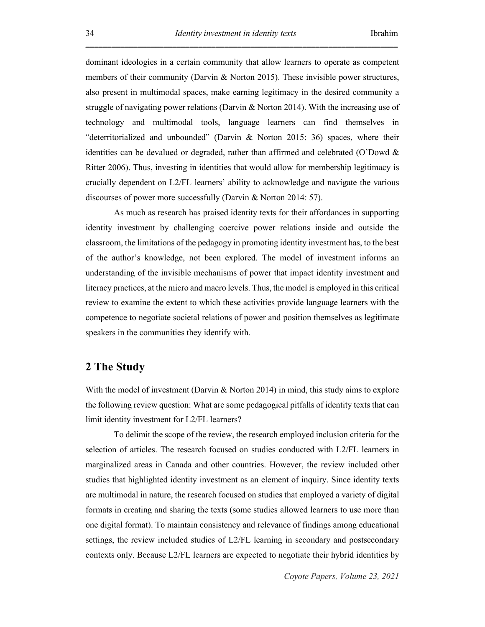dominant ideologies in a certain community that allow learners to operate as competent members of their community (Darvin & Norton 2015). These invisible power structures, also present in multimodal spaces, make earning legitimacy in the desired community a struggle of navigating power relations (Darvin & Norton 2014). With the increasing use of technology and multimodal tools, language learners can find themselves in "deterritorialized and unbounded" (Darvin & Norton 2015: 36) spaces, where their identities can be devalued or degraded, rather than affirmed and celebrated (O'Dowd & Ritter 2006). Thus, investing in identities that would allow for membership legitimacy is crucially dependent on L2/FL learners' ability to acknowledge and navigate the various discourses of power more successfully (Darvin & Norton 2014: 57).

As much as research has praised identity texts for their affordances in supporting identity investment by challenging coercive power relations inside and outside the classroom, the limitations of the pedagogy in promoting identity investment has, to the best of the author's knowledge, not been explored. The model of investment informs an understanding of the invisible mechanisms of power that impact identity investment and literacy practices, at the micro and macro levels. Thus, the model is employed in this critical review to examine the extent to which these activities provide language learners with the competence to negotiate societal relations of power and position themselves as legitimate speakers in the communities they identify with.

#### **2 The Study**

With the model of investment (Darvin & Norton 2014) in mind, this study aims to explore the following review question: What are some pedagogical pitfalls of identity texts that can limit identity investment for L2/FL learners?

To delimit the scope of the review, the research employed inclusion criteria for the selection of articles. The research focused on studies conducted with L2/FL learners in marginalized areas in Canada and other countries. However, the review included other studies that highlighted identity investment as an element of inquiry. Since identity texts are multimodal in nature, the research focused on studies that employed a variety of digital formats in creating and sharing the texts (some studies allowed learners to use more than one digital format). To maintain consistency and relevance of findings among educational settings, the review included studies of L2/FL learning in secondary and postsecondary contexts only. Because L2/FL learners are expected to negotiate their hybrid identities by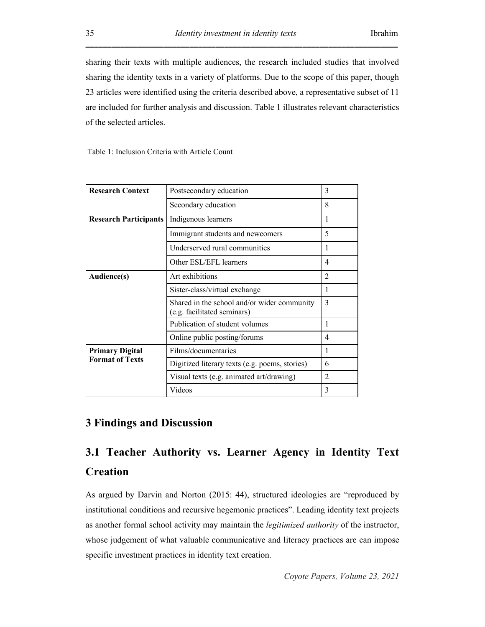sharing their texts with multiple audiences, the research included studies that involved sharing the identity texts in a variety of platforms. Due to the scope of this paper, though 23 articles were identified using the criteria described above, a representative subset of 11 are included for further analysis and discussion. Table 1 illustrates relevant characteristics of the selected articles.

Table 1: Inclusion Criteria with Article Count

| <b>Research Context</b>                          | Postsecondary education                                                    | 3              |
|--------------------------------------------------|----------------------------------------------------------------------------|----------------|
|                                                  | Secondary education                                                        | 8              |
| <b>Research Participants</b>                     | Indigenous learners                                                        | 1              |
|                                                  | Immigrant students and newcomers                                           | 5              |
|                                                  | Underserved rural communities                                              | 1              |
|                                                  | Other ESL/EFL learners                                                     | 4              |
| Audience(s)                                      | Art exhibitions                                                            | $\overline{2}$ |
|                                                  | Sister-class/virtual exchange                                              | 1              |
|                                                  | Shared in the school and/or wider community<br>(e.g. facilitated seminars) | 3              |
|                                                  | Publication of student volumes                                             | 1              |
|                                                  | Online public posting/forums                                               | 4              |
| <b>Primary Digital</b><br><b>Format of Texts</b> | Films/documentaries                                                        |                |
|                                                  | Digitized literary texts (e.g. poems, stories)                             | 6              |
|                                                  | Visual texts (e.g. animated art/drawing)                                   | $\mathfrak{D}$ |
|                                                  | Videos                                                                     | 3              |

#### **3 Findings and Discussion**

## **3.1 Teacher Authority vs. Learner Agency in Identity Text Creation**

As argued by Darvin and Norton (2015: 44), structured ideologies are "reproduced by institutional conditions and recursive hegemonic practices". Leading identity text projects as another formal school activity may maintain the *legitimized authority* of the instructor, whose judgement of what valuable communicative and literacy practices are can impose specific investment practices in identity text creation.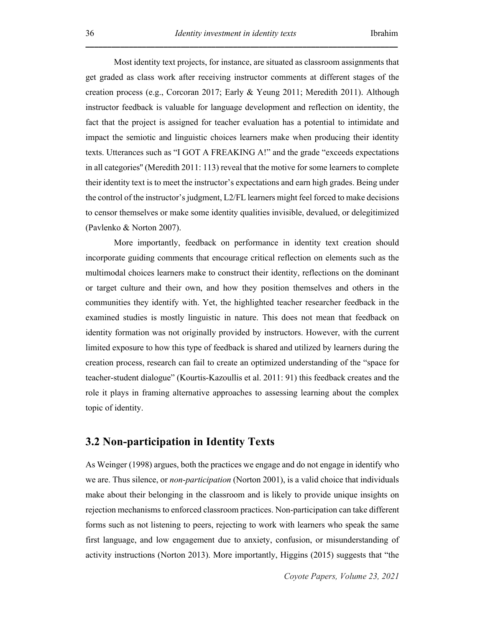Most identity text projects, for instance, are situated as classroom assignments that get graded as class work after receiving instructor comments at different stages of the creation process (e.g., Corcoran 2017; Early & Yeung 2011; Meredith 2011). Although instructor feedback is valuable for language development and reflection on identity, the fact that the project is assigned for teacher evaluation has a potential to intimidate and impact the semiotic and linguistic choices learners make when producing their identity texts. Utterances such as "I GOT A FREAKING A!" and the grade "exceeds expectations in all categories'' (Meredith 2011: 113) reveal that the motive for some learners to complete their identity text is to meet the instructor's expectations and earn high grades. Being under the control of the instructor's judgment, L2/FL learners might feel forced to make decisions to censor themselves or make some identity qualities invisible, devalued, or delegitimized (Pavlenko & Norton 2007).

More importantly, feedback on performance in identity text creation should incorporate guiding comments that encourage critical reflection on elements such as the multimodal choices learners make to construct their identity, reflections on the dominant or target culture and their own, and how they position themselves and others in the communities they identify with. Yet, the highlighted teacher researcher feedback in the examined studies is mostly linguistic in nature. This does not mean that feedback on identity formation was not originally provided by instructors. However, with the current limited exposure to how this type of feedback is shared and utilized by learners during the creation process, research can fail to create an optimized understanding of the "space for teacher-student dialogue" (Kourtis-Kazoullis et al. 2011: 91) this feedback creates and the role it plays in framing alternative approaches to assessing learning about the complex topic of identity.

#### **3.2 Non-participation in Identity Texts**

As Weinger (1998) argues, both the practices we engage and do not engage in identify who we are. Thus silence, or *non-participation* (Norton 2001), is a valid choice that individuals make about their belonging in the classroom and is likely to provide unique insights on rejection mechanisms to enforced classroom practices. Non-participation can take different forms such as not listening to peers, rejecting to work with learners who speak the same first language, and low engagement due to anxiety, confusion, or misunderstanding of activity instructions (Norton 2013). More importantly, Higgins (2015) suggests that "the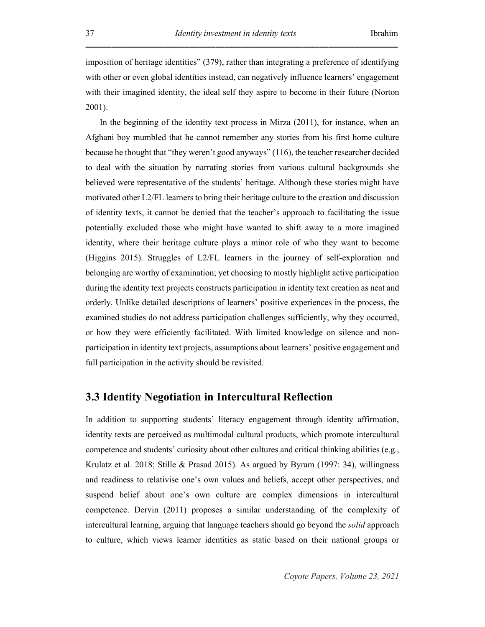imposition of heritage identities" (379), rather than integrating a preference of identifying with other or even global identities instead, can negatively influence learners' engagement with their imagined identity, the ideal self they aspire to become in their future (Norton 2001).

In the beginning of the identity text process in Mirza (2011), for instance, when an Afghani boy mumbled that he cannot remember any stories from his first home culture because he thought that "they weren't good anyways" (116), the teacher researcher decided to deal with the situation by narrating stories from various cultural backgrounds she believed were representative of the students' heritage. Although these stories might have motivated other L2/FL learners to bring their heritage culture to the creation and discussion of identity texts, it cannot be denied that the teacher's approach to facilitating the issue potentially excluded those who might have wanted to shift away to a more imagined identity, where their heritage culture plays a minor role of who they want to become (Higgins 2015). Struggles of L2/FL learners in the journey of self-exploration and belonging are worthy of examination; yet choosing to mostly highlight active participation during the identity text projects constructs participation in identity text creation as neat and orderly. Unlike detailed descriptions of learners' positive experiences in the process, the examined studies do not address participation challenges sufficiently, why they occurred, or how they were efficiently facilitated. With limited knowledge on silence and nonparticipation in identity text projects, assumptions about learners' positive engagement and full participation in the activity should be revisited.

#### **3.3 Identity Negotiation in Intercultural Reflection**

In addition to supporting students' literacy engagement through identity affirmation, identity texts are perceived as multimodal cultural products, which promote intercultural competence and students' curiosity about other cultures and critical thinking abilities (e.g., Krulatz et al. 2018; Stille & Prasad 2015). As argued by Byram (1997: 34), willingness and readiness to relativise one's own values and beliefs, accept other perspectives, and suspend belief about one's own culture are complex dimensions in intercultural competence. Dervin (2011) proposes a similar understanding of the complexity of intercultural learning, arguing that language teachers should go beyond the *solid* approach to culture, which views learner identities as static based on their national groups or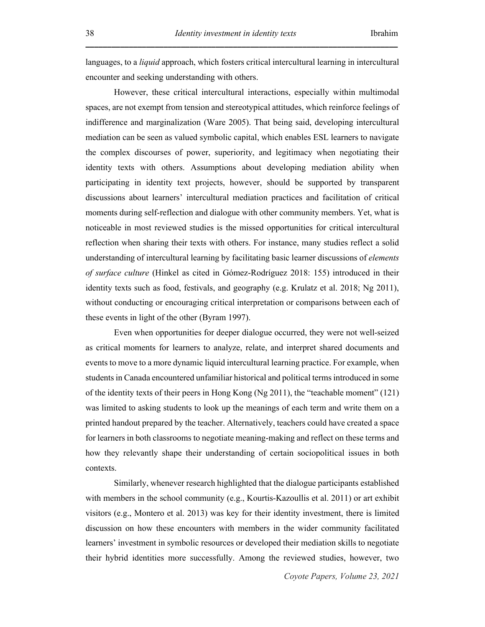languages, to a *liquid* approach, which fosters critical intercultural learning in intercultural encounter and seeking understanding with others.

**\_\_\_\_\_\_\_\_\_\_\_\_\_\_\_\_\_\_\_\_\_\_\_\_\_\_\_\_\_\_\_\_\_\_\_\_\_\_\_\_\_\_\_\_\_\_\_\_\_\_\_\_\_\_\_\_\_\_\_\_\_\_\_\_\_\_\_\_\_\_\_\_**

However, these critical intercultural interactions, especially within multimodal spaces, are not exempt from tension and stereotypical attitudes, which reinforce feelings of indifference and marginalization (Ware 2005). That being said, developing intercultural mediation can be seen as valued symbolic capital, which enables ESL learners to navigate the complex discourses of power, superiority, and legitimacy when negotiating their identity texts with others. Assumptions about developing mediation ability when participating in identity text projects, however, should be supported by transparent discussions about learners' intercultural mediation practices and facilitation of critical moments during self-reflection and dialogue with other community members. Yet, what is noticeable in most reviewed studies is the missed opportunities for critical intercultural reflection when sharing their texts with others. For instance, many studies reflect a solid understanding of intercultural learning by facilitating basic learner discussions of *elements of surface culture* (Hinkel as cited in Gómez-Rodríguez 2018: 155) introduced in their identity texts such as food, festivals, and geography (e.g. Krulatz et al. 2018; Ng 2011), without conducting or encouraging critical interpretation or comparisons between each of these events in light of the other (Byram 1997).

Even when opportunities for deeper dialogue occurred, they were not well-seized as critical moments for learners to analyze, relate, and interpret shared documents and events to move to a more dynamic liquid intercultural learning practice. For example, when students in Canada encountered unfamiliar historical and political terms introduced in some of the identity texts of their peers in Hong Kong (Ng 2011), the "teachable moment" (121) was limited to asking students to look up the meanings of each term and write them on a printed handout prepared by the teacher. Alternatively, teachers could have created a space for learners in both classrooms to negotiate meaning-making and reflect on these terms and how they relevantly shape their understanding of certain sociopolitical issues in both contexts.

Similarly, whenever research highlighted that the dialogue participants established with members in the school community (e.g., Kourtis-Kazoullis et al. 2011) or art exhibit visitors (e.g., Montero et al. 2013) was key for their identity investment, there is limited discussion on how these encounters with members in the wider community facilitated learners' investment in symbolic resources or developed their mediation skills to negotiate their hybrid identities more successfully. Among the reviewed studies, however, two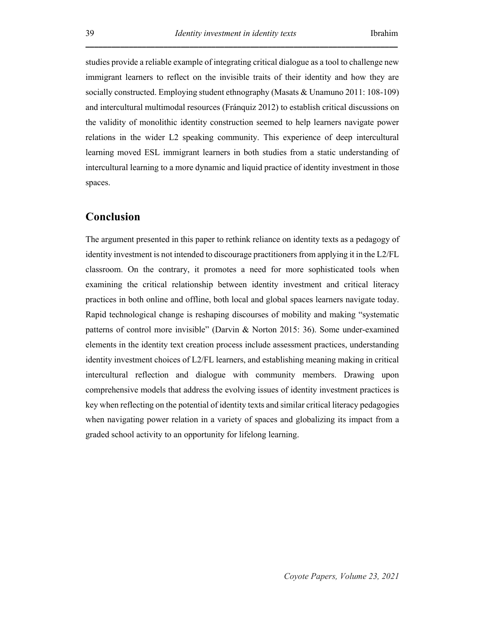studies provide a reliable example of integrating critical dialogue as a tool to challenge new immigrant learners to reflect on the invisible traits of their identity and how they are socially constructed. Employing student ethnography (Masats & Unamuno 2011: 108-109) and intercultural multimodal resources (Fránquiz 2012) to establish critical discussions on the validity of monolithic identity construction seemed to help learners navigate power relations in the wider L2 speaking community. This experience of deep intercultural learning moved ESL immigrant learners in both studies from a static understanding of intercultural learning to a more dynamic and liquid practice of identity investment in those spaces.

#### **Conclusion**

The argument presented in this paper to rethink reliance on identity texts as a pedagogy of identity investment is not intended to discourage practitioners from applying it in the L2/FL classroom. On the contrary, it promotes a need for more sophisticated tools when examining the critical relationship between identity investment and critical literacy practices in both online and offline, both local and global spaces learners navigate today. Rapid technological change is reshaping discourses of mobility and making "systematic patterns of control more invisible" (Darvin & Norton 2015: 36). Some under-examined elements in the identity text creation process include assessment practices, understanding identity investment choices of L2/FL learners, and establishing meaning making in critical intercultural reflection and dialogue with community members. Drawing upon comprehensive models that address the evolving issues of identity investment practices is key when reflecting on the potential of identity texts and similar critical literacy pedagogies when navigating power relation in a variety of spaces and globalizing its impact from a graded school activity to an opportunity for lifelong learning.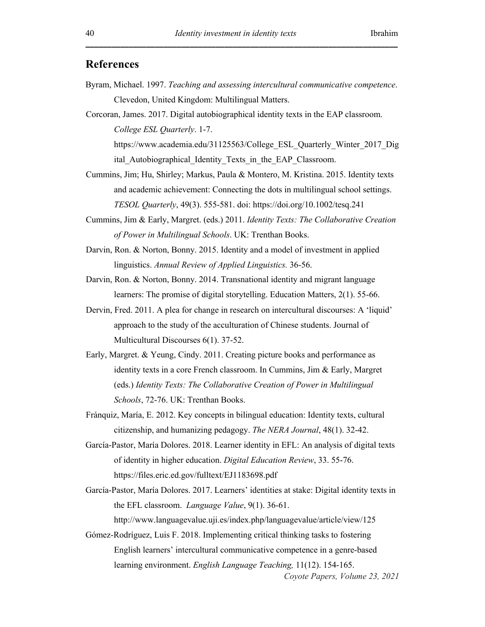#### **References**

Byram, Michael. 1997. *Teaching and assessing intercultural communicative competence*. Clevedon, United Kingdom: Multilingual Matters.

Corcoran, James. 2017. Digital autobiographical identity texts in the EAP classroom. *College ESL Quarterly*. 1-7. https://www.academia.edu/31125563/College\_ESL\_Quarterly\_Winter\_2017\_Dig

ital Autobiographical Identity Texts in the EAP Classroom.

- Cummins, Jim; Hu, Shirley; Markus, Paula & Montero, M. Kristina. 2015. Identity texts and academic achievement: Connecting the dots in multilingual school settings. *TESOL Quarterly*, 49(3). 555-581. doi: https://doi.org/10.1002/tesq.241
- Cummins, Jim & Early, Margret. (eds.) 2011. *Identity Texts: The Collaborative Creation of Power in Multilingual Schools*. UK: Trenthan Books.
- Darvin, Ron. & Norton, Bonny. 2015. Identity and a model of investment in applied linguistics. *Annual Review of Applied Linguistics.* 36-56.

Darvin, Ron. & Norton, Bonny. 2014. Transnational identity and migrant language learners: The promise of digital storytelling. Education Matters, 2(1). 55-66.

- Dervin, Fred. 2011. A plea for change in research on intercultural discourses: A 'liquid' approach to the study of the acculturation of Chinese students. Journal of Multicultural Discourses 6(1). 37-52.
- Early, Margret. & Yeung, Cindy. 2011. Creating picture books and performance as identity texts in a core French classroom. In Cummins, Jim & Early, Margret (eds.) *Identity Texts: The Collaborative Creation of Power in Multilingual Schools*, 72-76. UK: Trenthan Books.
- Fránquiz, María, E. 2012. Key concepts in bilingual education: Identity texts, cultural citizenship, and humanizing pedagogy. *The NERA Journal*, 48(1). 32-42.
- García-Pastor, María Dolores. 2018. Learner identity in EFL: An analysis of digital texts of identity in higher education. *Digital Education Review*, 33. 55-76. https://files.eric.ed.gov/fulltext/EJ1183698.pdf
- García-Pastor, María Dolores. 2017. Learners' identities at stake: Digital identity texts in the EFL classroom. *Language Value*, 9(1). 36-61.

http://www.languagevalue.uji.es/index.php/languagevalue/article/view/125

Gómez-Rodríguez, Luis F. 2018. Implementing critical thinking tasks to fostering English learners' intercultural communicative competence in a genre-based learning environment. *English Language Teaching,* 11(12). 154-165.

*Coyote Papers, Volume 23, 2021*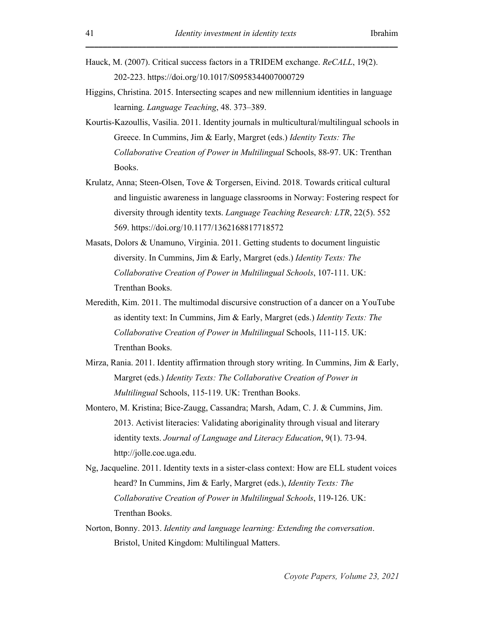- Hauck, M. (2007). Critical success factors in a TRIDEM exchange. *ReCALL*, 19(2). 202-223. https://doi.org/10.1017/S0958344007000729
- Higgins, Christina. 2015. Intersecting scapes and new millennium identities in language learning. *Language Teaching*, 48. 373–389.
- Kourtis-Kazoullis, Vasilia. 2011. Identity journals in multicultural/multilingual schools in Greece. In Cummins, Jim & Early, Margret (eds.) *Identity Texts: The Collaborative Creation of Power in Multilingual* Schools, 88-97. UK: Trenthan Books.
- Krulatz, Anna; Steen-Olsen, Tove & Torgersen, Eivind. 2018. Towards critical cultural and linguistic awareness in language classrooms in Norway: Fostering respect for diversity through identity texts. *Language Teaching Research: LTR*, 22(5). 552 569. https://doi.org/10.1177/1362168817718572
- Masats, Dolors & Unamuno, Virginia. 2011. Getting students to document linguistic diversity. In Cummins, Jim & Early, Margret (eds.) *Identity Texts: The Collaborative Creation of Power in Multilingual Schools*, 107-111. UK: Trenthan Books.
- Meredith, Kim. 2011. The multimodal discursive construction of a dancer on a YouTube as identity text: In Cummins, Jim & Early, Margret (eds.) *Identity Texts: The Collaborative Creation of Power in Multilingual* Schools, 111-115. UK: Trenthan Books.
- Mirza, Rania. 2011. Identity affirmation through story writing. In Cummins, Jim & Early, Margret (eds.) *Identity Texts: The Collaborative Creation of Power in Multilingual* Schools, 115-119. UK: Trenthan Books.
- Montero, M. Kristina; Bice-Zaugg, Cassandra; Marsh, Adam, C. J. & Cummins, Jim. 2013. Activist literacies: Validating aboriginality through visual and literary identity texts. *Journal of Language and Literacy Education*, 9(1). 73-94. http://jolle.coe.uga.edu.
- Ng, Jacqueline. 2011. Identity texts in a sister-class context: How are ELL student voices heard? In Cummins, Jim & Early, Margret (eds.), *Identity Texts: The Collaborative Creation of Power in Multilingual Schools*, 119-126. UK: Trenthan Books.
- Norton, Bonny. 2013. *Identity and language learning: Extending the conversation*. Bristol, United Kingdom: Multilingual Matters.

*Coyote Papers, Volume 23, 2021*